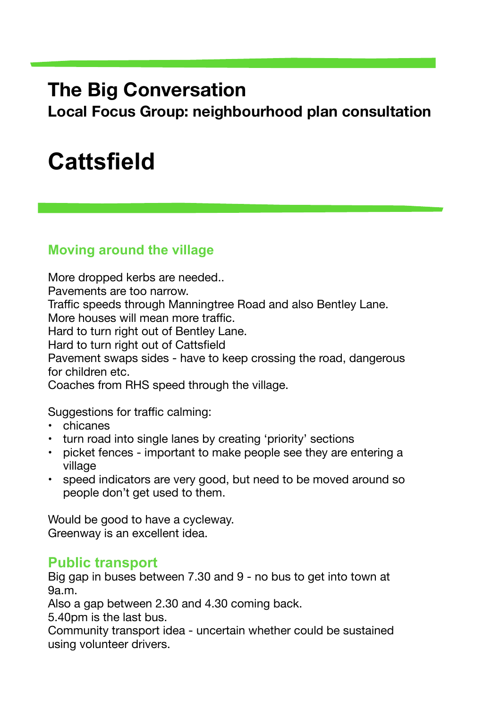## **The Big Conversation**

**Local Focus Group: neighbourhood plan consultation** 

# **Cattsfield**

#### **Moving around the village**

More dropped kerbs are needed..

Pavements are too narrow.

Traffic speeds through Manningtree Road and also Bentley Lane.

More houses will mean more traffic.

Hard to turn right out of Bentley Lane.

Hard to turn right out of Cattsfield

Pavement swaps sides - have to keep crossing the road, dangerous for children etc.

Coaches from RHS speed through the village.

Suggestions for traffic calming:

- chicanes
- turn road into single lanes by creating 'priority' sections
- picket fences important to make people see they are entering a village
- speed indicators are very good, but need to be moved around so people don't get used to them.

Would be good to have a cycleway. Greenway is an excellent idea.

#### **Public transport**

Big gap in buses between 7.30 and 9 - no bus to get into town at 9a.m.

Also a gap between 2.30 and 4.30 coming back.

5.40pm is the last bus.

Community transport idea - uncertain whether could be sustained using volunteer drivers.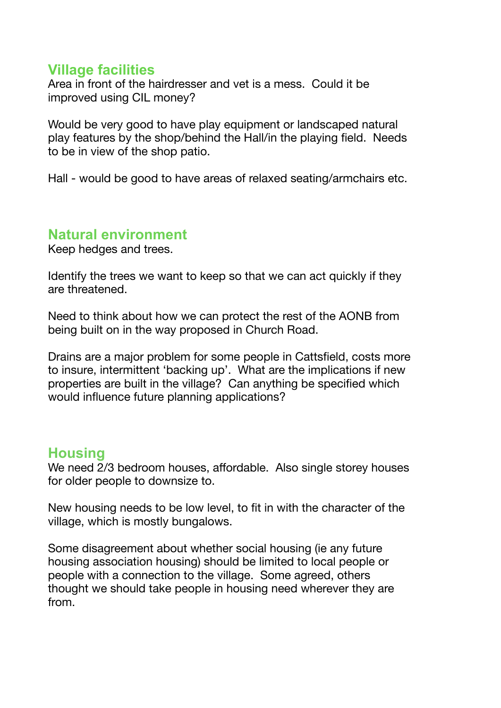#### **Village facilities**

Area in front of the hairdresser and vet is a mess. Could it be improved using CIL money?

Would be very good to have play equipment or landscaped natural play features by the shop/behind the Hall/in the playing field. Needs to be in view of the shop patio.

Hall - would be good to have areas of relaxed seating/armchairs etc.

#### **Natural environment**

Keep hedges and trees.

Identify the trees we want to keep so that we can act quickly if they are threatened.

Need to think about how we can protect the rest of the AONB from being built on in the way proposed in Church Road.

Drains are a major problem for some people in Cattsfield, costs more to insure, intermittent 'backing up'. What are the implications if new properties are built in the village? Can anything be specified which would influence future planning applications?

#### **Housing**

We need 2/3 bedroom houses, affordable. Also single storey houses for older people to downsize to.

New housing needs to be low level, to fit in with the character of the village, which is mostly bungalows.

Some disagreement about whether social housing (ie any future housing association housing) should be limited to local people or people with a connection to the village. Some agreed, others thought we should take people in housing need wherever they are from.